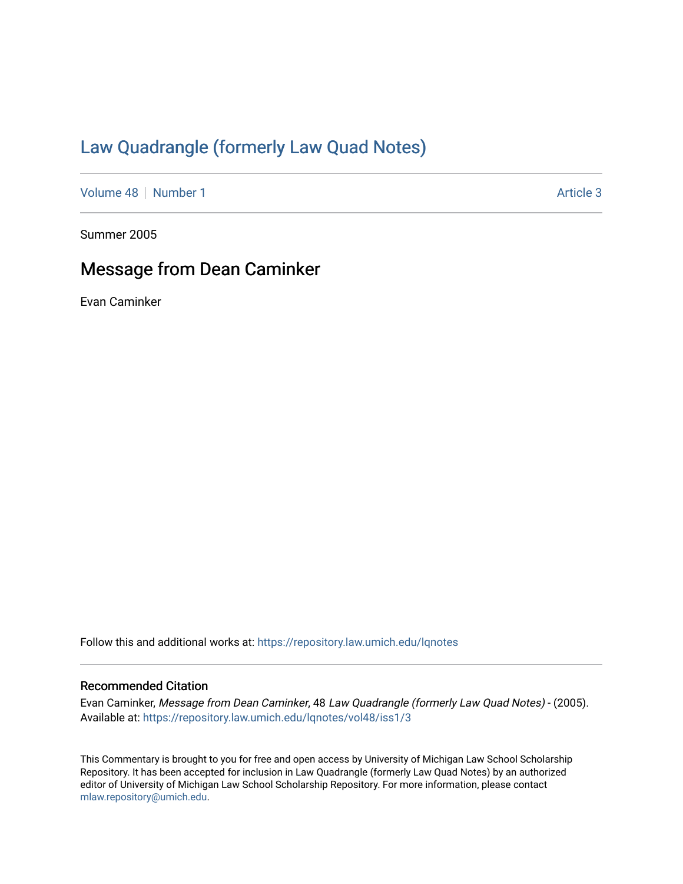## [Law Quadrangle \(formerly Law Quad Notes\)](https://repository.law.umich.edu/lqnotes)

[Volume 48](https://repository.law.umich.edu/lqnotes/vol48) [Number 1](https://repository.law.umich.edu/lqnotes/vol48/iss1) Article 3

Summer 2005

## Message from Dean Caminker

Evan Caminker

Follow this and additional works at: [https://repository.law.umich.edu/lqnotes](https://repository.law.umich.edu/lqnotes?utm_source=repository.law.umich.edu%2Flqnotes%2Fvol48%2Fiss1%2F3&utm_medium=PDF&utm_campaign=PDFCoverPages) 

## Recommended Citation

Evan Caminker, Message from Dean Caminker, 48 Law Quadrangle (formerly Law Quad Notes) - (2005). Available at: [https://repository.law.umich.edu/lqnotes/vol48/iss1/3](https://repository.law.umich.edu/lqnotes/vol48/iss1/3?utm_source=repository.law.umich.edu%2Flqnotes%2Fvol48%2Fiss1%2F3&utm_medium=PDF&utm_campaign=PDFCoverPages) 

This Commentary is brought to you for free and open access by University of Michigan Law School Scholarship Repository. It has been accepted for inclusion in Law Quadrangle (formerly Law Quad Notes) by an authorized editor of University of Michigan Law School Scholarship Repository. For more information, please contact [mlaw.repository@umich.edu.](mailto:mlaw.repository@umich.edu)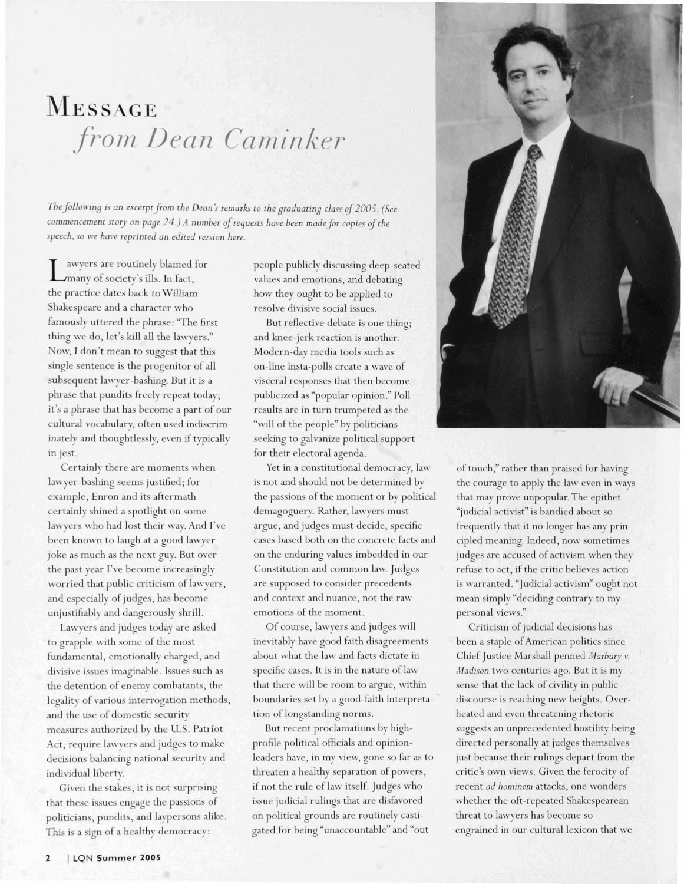## **MESSAGE** from Dean Caminker

*The filloa-ing is an excerpt from the Dean* i *remarks to the graduating class* of2@(75. *(See*  commencement story on page 24.) A number of requests have been made for copies of the speech, so we have reprinted an edited version here.

I awyers are routinely blamed for<br>
many of society's ills. In fact, the practice dates back to William Shakespeare and a character who famously uttered the phrase: "The first thing we do, let's kill all the lawyers." Now, I don't mean to suggest that this single sentence is the progenitor of all subsequent lawyer-bashing. But it is a phrase that pundits freely repeat today; it's a phrase that has become a part of our cultural vocabulary, often used indiscriminately and thoughtlesslv, even if typically in jest.

Certainly there are moments when lawyer-bashing seems justified; for example, Enron and its aftermath certainly shined a spotlight on some lawyers who had lost their way. And I've been known to laugh at a good lawyer joke as much as the next guy. But over the past year I've become increasingly worried that public criticism of lawyers, and especially of judges, has become unjustifiablv and dangerously shrill.

Lawyers and judges today are asked to grapple with some of the most fundamental, emotionally charged, and divisive issucs imaginable. Issues such as the detention of enemy combatants, the legality of various interrogation methods, and the use of domcstic security measurcs authorized by the U.S. Patriot Act, rcquire lawyers and judges to make decisions balancing national security and individual liberty.

Given the stakes, it is not surprising that these issues engage the passions of politicians, pundits, and laypersons alike. This is a sign of a healthy democracy:

people publicly discussing deep-seated values and emotions, and debating how they ought to be applied to resolve divisive social issues.

But reflective debate is one thing; and knee-jerk reaction is another. Modern-dav media tools such as on-line insta-polls create a wave of visceral responses that then become publicized as "popular opinion." Poll results are in turn trumpeted as the "will of the people" by politicians seeking to galvanize political support for their electoral agenda.

Yet in a constitutional democracy, law is not and should not be determined by the passions of the moment or by political demagoguery. Rather, lawyers must argue, and judges must decide, specific cases based both on the concrete facts and on the enduring values imbedded in our Constitution and common law. Judges are supposed to consider precedents and context and nuance, not the raw emotions of the moment.

Of course, lawyers and judges will inevitably have good faith disagreements about what the law and facts dictate in specific cases. It is in the nature of law that therc will be room to argue, within boundaries set by a good-faith interpretation of longstanding norms.

But recent proclamations by highprofile political officials and opinionleaders have, in my view, gone so far as to threatcn a healthy separation of powers, if not the rule of law itself. Judges who issue judicial rulings that are disfavored on political grounds arc routinely castigated for being "unaccountable" and "out



of touch," rather than praised for having the courage to apply the law even in ways that may prove unpopular. The epithet "judicial activist" is bandied about so frequently that it no longer has any principled meaning. Indeed, now sometimes judges are accused of activism when they refuse to act, if the critic believes action is warranted. "Judicial activism" ought not mean simply "deciding contrary to my personal views."

Criticism of judicial decisions has been a staple of American politics since Chief Justice Marshall penned Marbury v. *Madison* two centuries ago. But it is my sense that the lack of civility in public discourse is reaching new heights. Overheated and even threatening rhetoric suggests an unprecedcnted hostility being directed personally at judges themselves just becausc their rulings depart from the critic's own views. Given the ferocity of recent *ad hominem* attacks, one wonders whether the oft-rcpeated Shakespearean threat to lawycrs has become so engrained in our cultural lexicon that we